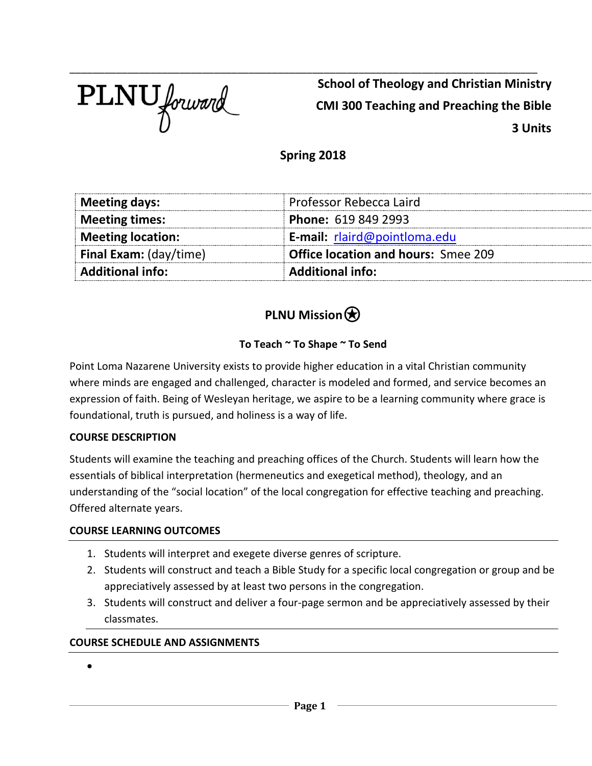

\_\_\_\_\_\_\_\_\_\_\_\_\_\_\_\_\_\_\_\_\_\_\_\_\_\_\_\_\_\_\_\_\_\_\_\_\_\_\_\_\_\_\_\_\_\_\_\_\_\_\_\_\_\_\_\_\_\_\_\_\_\_\_\_\_\_\_\_\_\_\_\_\_\_\_\_\_\_\_\_\_ **School of Theology and Christian Ministry CMI 300 Teaching and Preaching the Bible 3 Units** 

### **Spring 2018**

| <b>Additional info:</b>       | <b>Additional info:</b>                    |  |
|-------------------------------|--------------------------------------------|--|
| <b>Final Exam:</b> (day/time) | <b>Office location and hours: Smee 209</b> |  |
| <b>Meeting location:</b>      | E-mail: rlaird@pointloma.edu               |  |
| <b>Meeting times:</b>         | <b>Phone: 619 849 2993</b>                 |  |
| Meeting days:                 | Professor Rebecca Laird                    |  |

## **PLNU Mission** $\bigcirc$

### **To Teach ~ To Shape ~ To Send**

Point Loma Nazarene University exists to provide higher education in a vital Christian community where minds are engaged and challenged, character is modeled and formed, and service becomes an expression of faith. Being of Wesleyan heritage, we aspire to be a learning community where grace is foundational, truth is pursued, and holiness is a way of life.

#### **COURSE DESCRIPTION**

Students will examine the teaching and preaching offices of the Church. Students will learn how the essentials of biblical interpretation (hermeneutics and exegetical method), theology, and an understanding of the "social location" of the local congregation for effective teaching and preaching. Offered alternate years.

#### **COURSE LEARNING OUTCOMES**

- 1. Students will interpret and exegete diverse genres of scripture.
- 2. Students will construct and teach a Bible Study for a specific local congregation or group and be appreciatively assessed by at least two persons in the congregation.
- 3. Students will construct and deliver a four-page sermon and be appreciatively assessed by their classmates.

#### **COURSE SCHEDULE AND ASSIGNMENTS**

•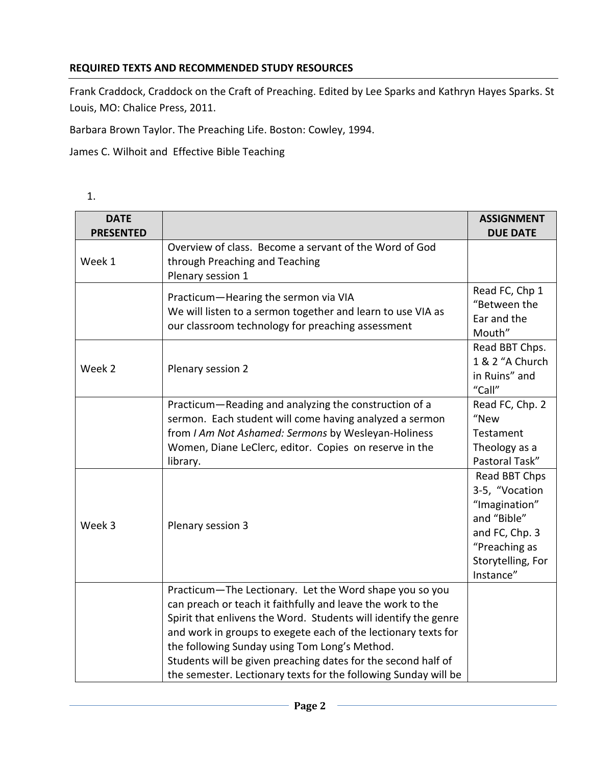#### **REQUIRED TEXTS AND RECOMMENDED STUDY RESOURCES**

Frank Craddock, Craddock on the Craft of Preaching. Edited by Lee Sparks and Kathryn Hayes Sparks. St Louis, MO: Chalice Press, 2011.

Barbara Brown Taylor. The Preaching Life. Boston: Cowley, 1994.

James C. Wilhoit and Effective Bible Teaching

| ۰,  |  |
|-----|--|
| . . |  |
|     |  |

| <b>DATE</b>      |                                                                                                                                                                                                                                                                                                                                                                                                                                                  | <b>ASSIGNMENT</b>                                                                                                                    |
|------------------|--------------------------------------------------------------------------------------------------------------------------------------------------------------------------------------------------------------------------------------------------------------------------------------------------------------------------------------------------------------------------------------------------------------------------------------------------|--------------------------------------------------------------------------------------------------------------------------------------|
| <b>PRESENTED</b> |                                                                                                                                                                                                                                                                                                                                                                                                                                                  | <b>DUE DATE</b>                                                                                                                      |
| Week 1           | Overview of class. Become a servant of the Word of God<br>through Preaching and Teaching<br>Plenary session 1                                                                                                                                                                                                                                                                                                                                    |                                                                                                                                      |
|                  | Practicum-Hearing the sermon via VIA<br>We will listen to a sermon together and learn to use VIA as<br>our classroom technology for preaching assessment                                                                                                                                                                                                                                                                                         | Read FC, Chp 1<br>"Between the<br>Ear and the<br>Mouth"                                                                              |
| Week 2           | Plenary session 2                                                                                                                                                                                                                                                                                                                                                                                                                                | Read BBT Chps.<br>1 & 2 "A Church<br>in Ruins" and<br>"Call"                                                                         |
|                  | Practicum-Reading and analyzing the construction of a<br>sermon. Each student will come having analyzed a sermon<br>from I Am Not Ashamed: Sermons by Wesleyan-Holiness<br>Women, Diane LeClerc, editor. Copies on reserve in the<br>library.                                                                                                                                                                                                    | Read FC, Chp. 2<br>"New<br>Testament<br>Theology as a<br>Pastoral Task"                                                              |
| Week 3           | Plenary session 3                                                                                                                                                                                                                                                                                                                                                                                                                                | Read BBT Chps<br>3-5, "Vocation<br>"Imagination"<br>and "Bible"<br>and FC, Chp. 3<br>"Preaching as<br>Storytelling, For<br>Instance" |
|                  | Practicum-The Lectionary. Let the Word shape you so you<br>can preach or teach it faithfully and leave the work to the<br>Spirit that enlivens the Word. Students will identify the genre<br>and work in groups to exegete each of the lectionary texts for<br>the following Sunday using Tom Long's Method.<br>Students will be given preaching dates for the second half of<br>the semester. Lectionary texts for the following Sunday will be |                                                                                                                                      |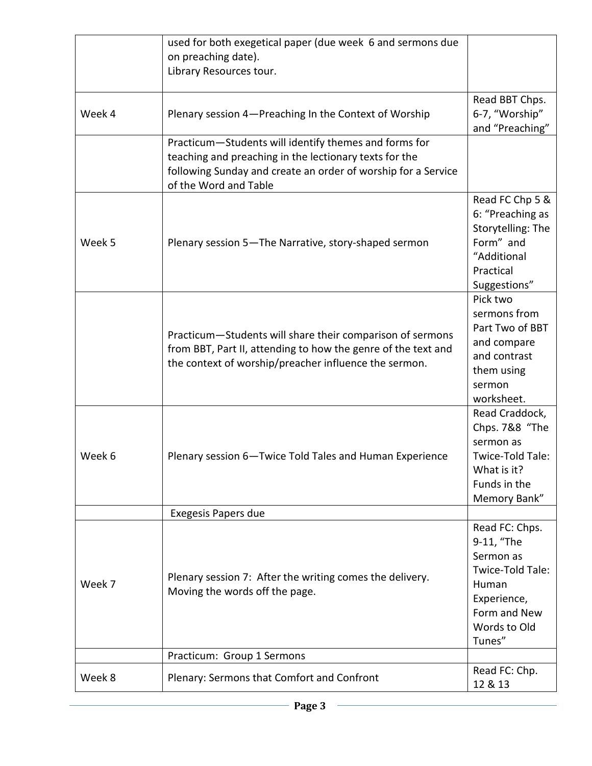|        | used for both exegetical paper (due week 6 and sermons due<br>on preaching date).<br>Library Resources tour.                                                                                              |                                                                                                                                 |
|--------|-----------------------------------------------------------------------------------------------------------------------------------------------------------------------------------------------------------|---------------------------------------------------------------------------------------------------------------------------------|
| Week 4 | Plenary session 4-Preaching In the Context of Worship                                                                                                                                                     | Read BBT Chps.<br>6-7, "Worship"<br>and "Preaching"                                                                             |
|        | Practicum-Students will identify themes and forms for<br>teaching and preaching in the lectionary texts for the<br>following Sunday and create an order of worship for a Service<br>of the Word and Table |                                                                                                                                 |
| Week 5 | Plenary session 5-The Narrative, story-shaped sermon                                                                                                                                                      | Read FC Chp 5 &<br>6: "Preaching as<br>Storytelling: The<br>Form" and<br>"Additional<br>Practical<br>Suggestions"               |
|        | Practicum-Students will share their comparison of sermons<br>from BBT, Part II, attending to how the genre of the text and<br>the context of worship/preacher influence the sermon.                       | Pick two<br>sermons from<br>Part Two of BBT<br>and compare<br>and contrast<br>them using<br>sermon<br>worksheet.                |
| Week 6 | Plenary session 6-Twice Told Tales and Human Experience                                                                                                                                                   | Read Craddock,<br>Chps. 7&8 "The<br>sermon as<br>Twice-Told Tale:<br>What is it?<br>Funds in the<br>Memory Bank"                |
|        | <b>Exegesis Papers due</b>                                                                                                                                                                                |                                                                                                                                 |
| Week 7 | Plenary session 7: After the writing comes the delivery.<br>Moving the words off the page.                                                                                                                | Read FC: Chps.<br>9-11, "The<br>Sermon as<br>Twice-Told Tale:<br>Human<br>Experience,<br>Form and New<br>Words to Old<br>Tunes" |
|        | Practicum: Group 1 Sermons                                                                                                                                                                                |                                                                                                                                 |
| Week 8 | Plenary: Sermons that Comfort and Confront                                                                                                                                                                | Read FC: Chp.<br>12 & 13                                                                                                        |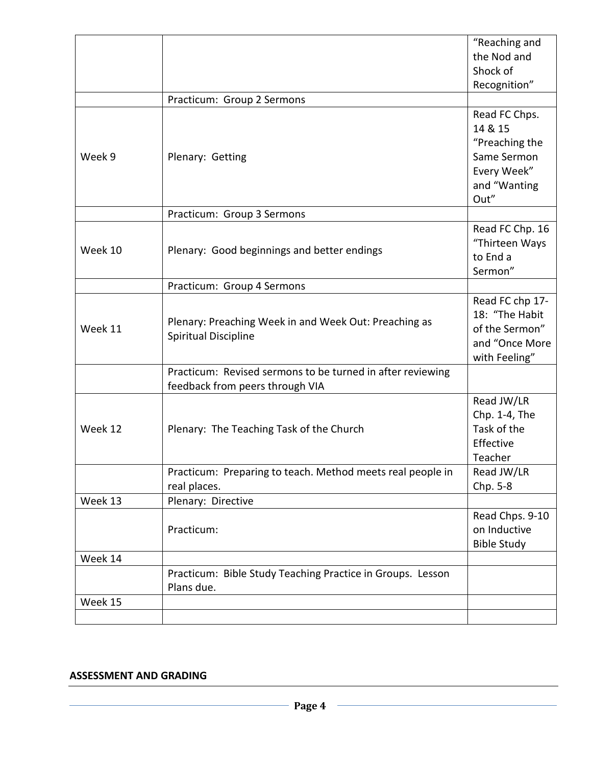|         |                                                                                               | "Reaching and                                                                            |
|---------|-----------------------------------------------------------------------------------------------|------------------------------------------------------------------------------------------|
|         |                                                                                               | the Nod and                                                                              |
|         |                                                                                               | Shock of                                                                                 |
|         |                                                                                               | Recognition"                                                                             |
|         | Practicum: Group 2 Sermons                                                                    |                                                                                          |
| Week 9  | Plenary: Getting                                                                              | Read FC Chps.<br>14 & 15<br>"Preaching the<br>Same Sermon<br>Every Week"<br>and "Wanting |
|         |                                                                                               | Out"                                                                                     |
|         | Practicum: Group 3 Sermons                                                                    |                                                                                          |
| Week 10 | Plenary: Good beginnings and better endings                                                   | Read FC Chp. 16<br>"Thirteen Ways<br>to End a<br>Sermon"                                 |
|         | Practicum: Group 4 Sermons                                                                    |                                                                                          |
| Week 11 | Plenary: Preaching Week in and Week Out: Preaching as<br>Spiritual Discipline                 | Read FC chp 17-<br>18: "The Habit<br>of the Sermon"<br>and "Once More<br>with Feeling"   |
|         | Practicum: Revised sermons to be turned in after reviewing<br>feedback from peers through VIA |                                                                                          |
| Week 12 | Plenary: The Teaching Task of the Church                                                      | Read JW/LR<br>Chp. 1-4, The<br>Task of the<br>Effective<br>Teacher                       |
|         | Practicum: Preparing to teach. Method meets real people in<br>real places.                    | Read JW/LR<br>Chp. 5-8                                                                   |
| Week 13 | Plenary: Directive                                                                            |                                                                                          |
|         | Practicum:                                                                                    | Read Chps. 9-10<br>on Inductive<br><b>Bible Study</b>                                    |
| Week 14 |                                                                                               |                                                                                          |
|         | Practicum: Bible Study Teaching Practice in Groups. Lesson<br>Plans due.                      |                                                                                          |
| Week 15 |                                                                                               |                                                                                          |
|         |                                                                                               |                                                                                          |

#### **ASSESSMENT AND GRADING**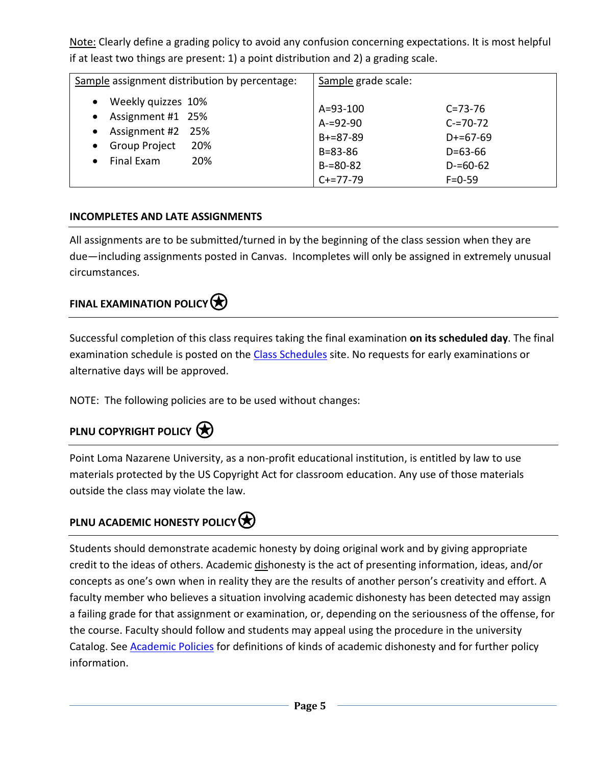Note: Clearly define a grading policy to avoid any confusion concerning expectations. It is most helpful if at least two things are present: 1) a point distribution and 2) a grading scale.

| Sample assignment distribution by percentage:                                                                                                                                     | Sample grade scale:                                                                                |                                                                                                |
|-----------------------------------------------------------------------------------------------------------------------------------------------------------------------------------|----------------------------------------------------------------------------------------------------|------------------------------------------------------------------------------------------------|
| Weekly quizzes 10%<br>$\bullet$<br>Assignment #1 25%<br>$\bullet$<br>Assignment #2 25%<br>$\bullet$<br><b>Group Project</b><br>20%<br>$\bullet$<br>Final Exam<br>20%<br>$\bullet$ | $A = 93 - 100$<br>$A = 92 - 90$<br>$B + = 87 - 89$<br>$B = 83 - 86$<br>$B = 80 - 82$<br>$C+=77-79$ | $C = 73 - 76$<br>$C = 70 - 72$<br>$D+=67-69$<br>$D = 63 - 66$<br>$D = 60 - 62$<br>$F = 0 - 59$ |

#### **INCOMPLETES AND LATE ASSIGNMENTS**

All assignments are to be submitted/turned in by the beginning of the class session when they are due—including assignments posted in Canvas. Incompletes will only be assigned in extremely unusual circumstances.

### **FINAL EXAMINATION POLICY** $\bigotimes$

Successful completion of this class requires taking the final examination **on its scheduled day**. The final examination schedule is posted on the [Class Schedules](http://www.pointloma.edu/experience/academics/class-schedules) site. No requests for early examinations or alternative days will be approved.

NOTE: The following policies are to be used without changes:

## **PLNU COPYRIGHT POLICY**

Point Loma Nazarene University, as a non-profit educational institution, is entitled by law to use materials protected by the US Copyright Act for classroom education. Any use of those materials outside the class may violate the law.

## **PLNU ACADEMIC HONESTY POLICY**

Students should demonstrate academic honesty by doing original work and by giving appropriate credit to the ideas of others. Academic dishonesty is the act of presenting information, ideas, and/or concepts as one's own when in reality they are the results of another person's creativity and effort. A faculty member who believes a situation involving academic dishonesty has been detected may assign a failing grade for that assignment or examination, or, depending on the seriousness of the offense, for the course. Faculty should follow and students may appeal using the procedure in the university Catalog. See [Academic Policies](http://catalog.pointloma.edu/content.php?catoid=18&navoid=1278) for definitions of kinds of academic dishonesty and for further policy information.